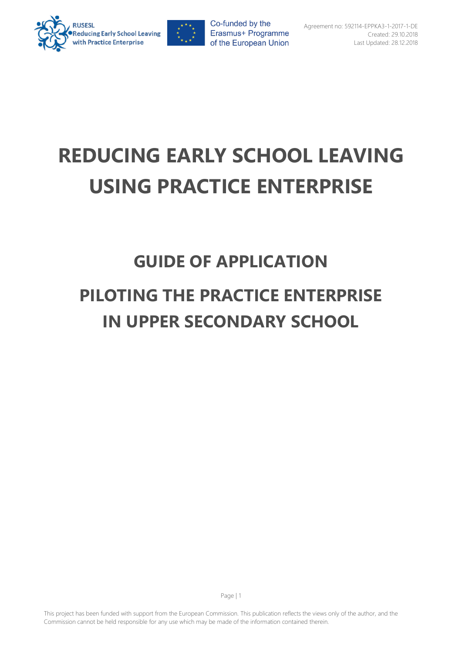



# **REDUCING EARLY SCHOOL LEAVING USING PRACTICE ENTERPRISE**

## **GUIDE OF APPLICATION PILOTING THE PRACTICE ENTERPRISE IN UPPER SECONDARY SCHOOL**

This project has been funded with support from the European Commission. This publication reflects the views only of the author, and the Commission cannot be held responsible for any use which may be made of the information contained therein.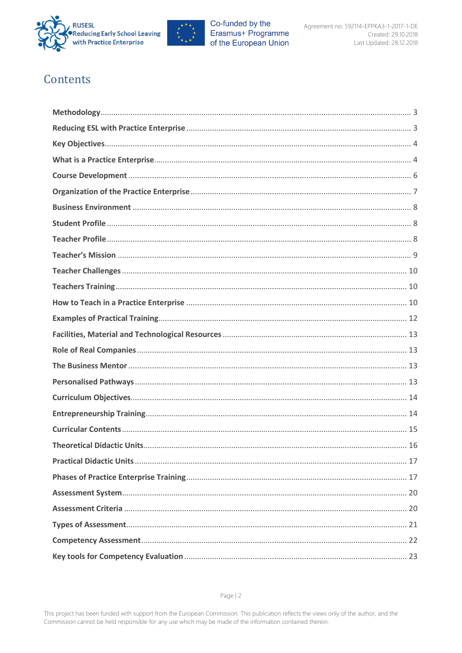



## Contents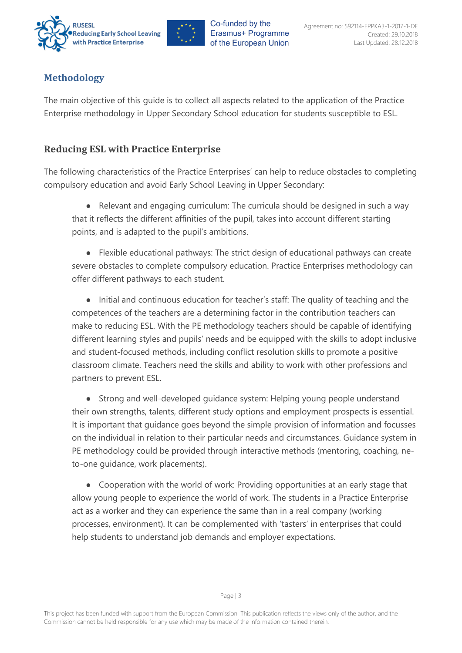



## <span id="page-2-0"></span>**Methodology**

The main objective of this guide is to collect all aspects related to the application of the Practice Enterprise methodology in Upper Secondary School education for students susceptible to ESL.

## <span id="page-2-1"></span>**Reducing ESL with Practice Enterprise**

The following characteristics of the Practice Enterprises' can help to reduce obstacles to completing compulsory education and avoid Early School Leaving in Upper Secondary:

● Relevant and engaging curriculum: The curricula should be designed in such a way that it reflects the different affinities of the pupil, takes into account different starting points, and is adapted to the pupil's ambitions.

● Flexible educational pathways: The strict design of educational pathways can create severe obstacles to complete compulsory education. Practice Enterprises methodology can offer different pathways to each student.

● Initial and continuous education for teacher's staff: The quality of teaching and the competences of the teachers are a determining factor in the contribution teachers can make to reducing ESL. With the PE methodology teachers should be capable of identifying different learning styles and pupils' needs and be equipped with the skills to adopt inclusive and student-focused methods, including conflict resolution skills to promote a positive classroom climate. Teachers need the skills and ability to work with other professions and partners to prevent ESL.

● Strong and well-developed guidance system: Helping young people understand their own strengths, talents, different study options and employment prospects is essential. It is important that guidance goes beyond the simple provision of information and focusses on the individual in relation to their particular needs and circumstances. Guidance system in PE methodology could be provided through interactive methods (mentoring, coaching, neto-one guidance, work placements).

● Cooperation with the world of work: Providing opportunities at an early stage that allow young people to experience the world of work. The students in a Practice Enterprise act as a worker and they can experience the same than in a real company (working processes, environment). It can be complemented with 'tasters' in enterprises that could help students to understand job demands and employer expectations.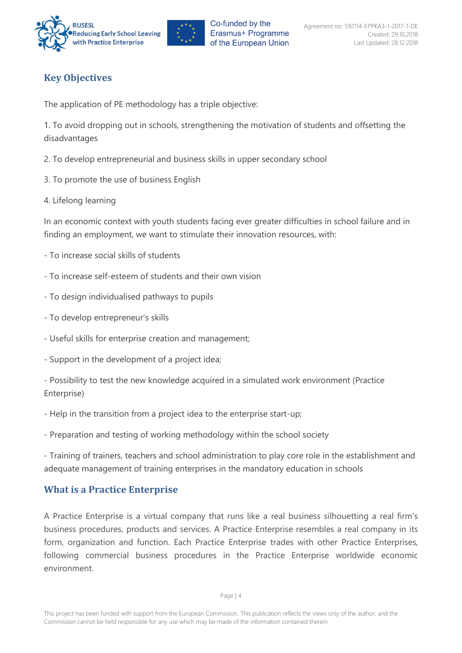



## <span id="page-3-0"></span>**Key Objectives**

The application of PE methodology has a triple objective:

1. To avoid dropping out in schools, strengthening the motivation of students and offsetting the disadvantages

- 2. To develop entrepreneurial and business skills in upper secondary school
- 3. To promote the use of business English
- 4. Lifelong learning

In an economic context with youth students facing ever greater difficulties in school failure and in finding an employment, we want to stimulate their innovation resources, with:

- To increase social skills of students
- To increase self-esteem of students and their own vision
- To design individualised pathways to pupils
- To develop entrepreneur's skills
- Useful skills for enterprise creation and management;
- Support in the development of a project idea;

- Possibility to test the new knowledge acquired in a simulated work environment (Practice Enterprise)

- Help in the transition from a project idea to the enterprise start-up;

- Preparation and testing of working methodology within the school society

- Training of trainers, teachers and school administration to play core role in the establishment and adequate management of training enterprises in the mandatory education in schools

## <span id="page-3-1"></span>**What is a Practice Enterprise**

A Practice Enterprise is a virtual company that runs like a real business silhouetting a real firm's business procedures, products and services. A Practice Enterprise resembles a real company in its form, organization and function. Each Practice Enterprise trades with other Practice Enterprises, following commercial business procedures in the Practice Enterprise worldwide economic environment.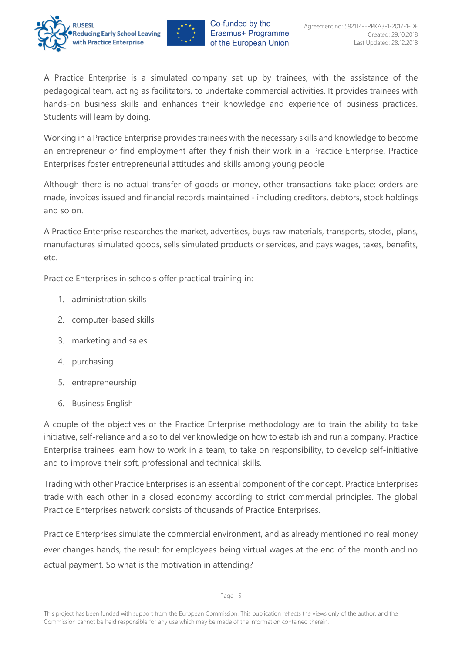



A Practice Enterprise is a simulated company set up by trainees, with the assistance of the pedagogical team, acting as facilitators, to undertake commercial activities. It provides trainees with hands-on business skills and enhances their knowledge and experience of business practices. Students will learn by doing.

Working in a Practice Enterprise provides trainees with the necessary skills and knowledge to become an entrepreneur or find employment after they finish their work in a Practice Enterprise. Practice Enterprises foster entrepreneurial attitudes and skills among young people

Although there is no actual transfer of goods or money, other transactions take place: orders are made, invoices issued and financial records maintained - including creditors, debtors, stock holdings and so on.

A Practice Enterprise researches the market, advertises, buys raw materials, transports, stocks, plans, manufactures simulated goods, sells simulated products or services, and pays wages, taxes, benefits, etc.

Practice Enterprises in schools offer practical training in:

- 1. administration skills
- 2. computer-based skills
- 3. marketing and sales
- 4. purchasing
- 5. entrepreneurship
- 6. Business English

A couple of the objectives of the Practice Enterprise methodology are to train the ability to take initiative, self-reliance and also to deliver knowledge on how to establish and run a company. Practice Enterprise trainees learn how to work in a team, to take on responsibility, to develop self-initiative and to improve their soft, professional and technical skills.

Trading with other Practice Enterprises is an essential component of the concept. Practice Enterprises trade with each other in a closed economy according to strict commercial principles. The global Practice Enterprises network consists of thousands of Practice Enterprises.

Practice Enterprises simulate the commercial environment, and as already mentioned no real money ever changes hands, the result for employees being virtual wages at the end of the month and no actual payment. So what is the motivation in attending?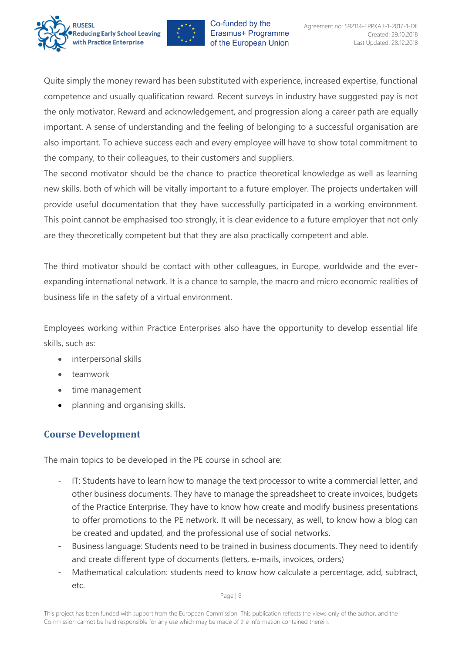



Quite simply the money reward has been substituted with experience, increased expertise, functional competence and usually qualification reward. Recent surveys in industry have suggested pay is not the only motivator. Reward and acknowledgement, and progression along a career path are equally important. A sense of understanding and the feeling of belonging to a successful organisation are also important. To achieve success each and every employee will have to show total commitment to the company, to their colleagues, to their customers and suppliers.

The second motivator should be the chance to practice theoretical knowledge as well as learning new skills, both of which will be vitally important to a future employer. The projects undertaken will provide useful documentation that they have successfully participated in a working environment. This point cannot be emphasised too strongly, it is clear evidence to a future employer that not only are they theoretically competent but that they are also practically competent and able.

The third motivator should be contact with other colleagues, in Europe, worldwide and the everexpanding international network. It is a chance to sample, the macro and micro economic realities of business life in the safety of a virtual environment.

Employees working within Practice Enterprises also have the opportunity to develop essential life skills, such as:

- interpersonal skills
- teamwork
- time management
- planning and organising skills.

## <span id="page-5-0"></span>**Course Development**

The main topics to be developed in the PE course in school are:

- IT: Students have to learn how to manage the text processor to write a commercial letter, and other business documents. They have to manage the spreadsheet to create invoices, budgets of the Practice Enterprise. They have to know how create and modify business presentations to offer promotions to the PE network. It will be necessary, as well, to know how a blog can be created and updated, and the professional use of social networks.
- Business language: Students need to be trained in business documents. They need to identify and create different type of documents (letters, e-mails, invoices, orders)
- Mathematical calculation: students need to know how calculate a percentage, add, subtract, etc.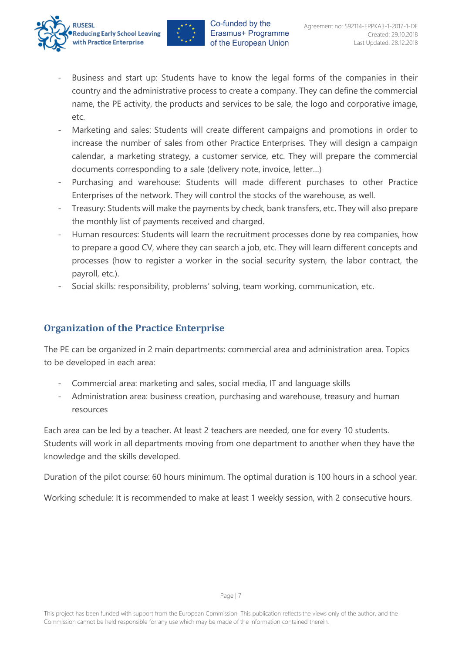



- Business and start up: Students have to know the legal forms of the companies in their country and the administrative process to create a company. They can define the commercial name, the PE activity, the products and services to be sale, the logo and corporative image, etc.
- Marketing and sales: Students will create different campaigns and promotions in order to increase the number of sales from other Practice Enterprises. They will design a campaign calendar, a marketing strategy, a customer service, etc. They will prepare the commercial documents corresponding to a sale (delivery note, invoice, letter…)
- Purchasing and warehouse: Students will made different purchases to other Practice Enterprises of the network. They will control the stocks of the warehouse, as well.
- Treasury: Students will make the payments by check, bank transfers, etc. They will also prepare the monthly list of payments received and charged.
- Human resources: Students will learn the recruitment processes done by rea companies, how to prepare a good CV, where they can search a job, etc. They will learn different concepts and processes (how to register a worker in the social security system, the labor contract, the payroll, etc.).
- Social skills: responsibility, problems' solving, team working, communication, etc.

## <span id="page-6-0"></span>**Organization of the Practice Enterprise**

The PE can be organized in 2 main departments: commercial area and administration area. Topics to be developed in each area:

- Commercial area: marketing and sales, social media, IT and language skills
- Administration area: business creation, purchasing and warehouse, treasury and human resources

Each area can be led by a teacher. At least 2 teachers are needed, one for every 10 students. Students will work in all departments moving from one department to another when they have the knowledge and the skills developed.

Duration of the pilot course: 60 hours minimum. The optimal duration is 100 hours in a school year.

Working schedule: It is recommended to make at least 1 weekly session, with 2 consecutive hours.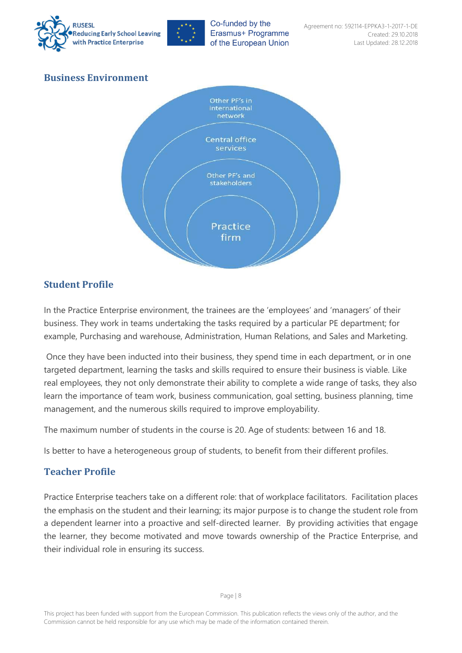



## <span id="page-7-0"></span>**Business Environment**



## <span id="page-7-1"></span>**Student Profile**

In the Practice Enterprise environment, the trainees are the 'employees' and 'managers' of their business. They work in teams undertaking the tasks required by a particular PE department; for example, Purchasing and warehouse, Administration, Human Relations, and Sales and Marketing.

Once they have been inducted into their business, they spend time in each department, or in one targeted department, learning the tasks and skills required to ensure their business is viable. Like real employees, they not only demonstrate their ability to complete a wide range of tasks, they also learn the importance of team work, business communication, goal setting, business planning, time management, and the numerous skills required to improve employability.

The maximum number of students in the course is 20. Age of students: between 16 and 18.

Is better to have a heterogeneous group of students, to benefit from their different profiles.

## <span id="page-7-2"></span>**Teacher Profile**

Practice Enterprise teachers take on a different role: that of workplace facilitators. Facilitation places the emphasis on the student and their learning; its major purpose is to change the student role from a dependent learner into a proactive and self-directed learner. By providing activities that engage the learner, they become motivated and move towards ownership of the Practice Enterprise, and their individual role in ensuring its success.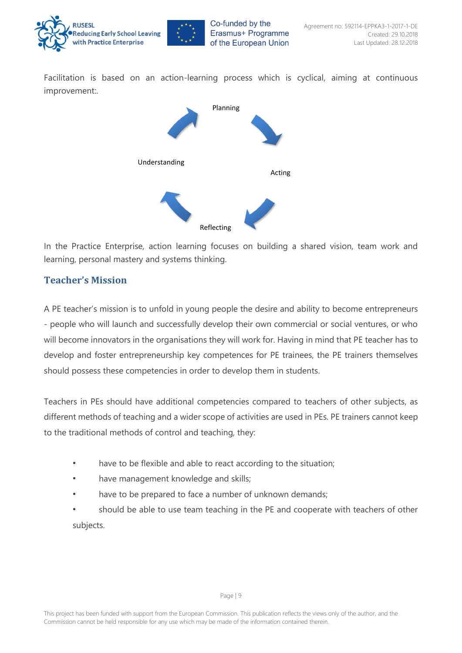

Facilitation is based on an action-learning process which is cyclical, aiming at continuous improvement:.



In the Practice Enterprise, action learning focuses on building a shared vision, team work and learning, personal mastery and systems thinking.

## <span id="page-8-0"></span>**Teacher's Mission**

A PE teacher's mission is to unfold in young people the desire and ability to become entrepreneurs - people who will launch and successfully develop their own commercial or social ventures, or who will become innovators in the organisations they will work for. Having in mind that PE teacher has to develop and foster entrepreneurship key competences for PE trainees, the PE trainers themselves should possess these competencies in order to develop them in students.

Teachers in PEs should have additional competencies compared to teachers of other subjects, as different methods of teaching and a wider scope of activities are used in PEs. PE trainers cannot keep to the traditional methods of control and teaching, they:

- have to be flexible and able to react according to the situation;
- have management knowledge and skills;
- have to be prepared to face a number of unknown demands;
- <span id="page-8-1"></span>• should be able to use team teaching in the PE and cooperate with teachers of other subjects.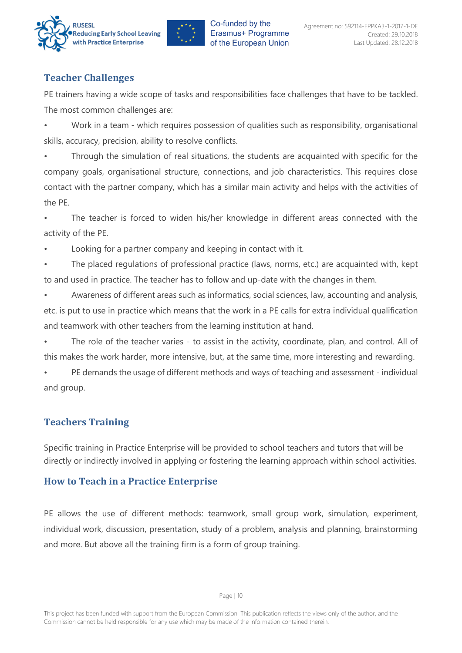



## **Teacher Challenges**

PE trainers having a wide scope of tasks and responsibilities face challenges that have to be tackled. The most common challenges are:

• Work in a team - which requires possession of qualities such as responsibility, organisational skills, accuracy, precision, ability to resolve conflicts.

Through the simulation of real situations, the students are acquainted with specific for the company goals, organisational structure, connections, and job characteristics. This requires close contact with the partner company, which has a similar main activity and helps with the activities of the PE.

The teacher is forced to widen his/her knowledge in different areas connected with the activity of the PE.

Looking for a partner company and keeping in contact with it.

The placed regulations of professional practice (laws, norms, etc.) are acquainted with, kept to and used in practice. The teacher has to follow and up-date with the changes in them.

• Awareness of different areas such as informatics, social sciences, law, accounting and analysis, etc. is put to use in practice which means that the work in a PE calls for extra individual qualification and teamwork with other teachers from the learning institution at hand.

The role of the teacher varies - to assist in the activity, coordinate, plan, and control. All of this makes the work harder, more intensive, but, at the same time, more interesting and rewarding.

• PE demands the usage of different methods and ways of teaching and assessment - individual and group.

## <span id="page-9-0"></span>**Teachers Training**

Specific training in Practice Enterprise will be provided to school teachers and tutors that will be directly or indirectly involved in applying or fostering the learning approach within school activities.

## <span id="page-9-1"></span>**How to Teach in a Practice Enterprise**

PE allows the use of different methods: teamwork, small group work, simulation, experiment, individual work, discussion, presentation, study of a problem, analysis and planning, brainstorming and more. But above all the training firm is a form of group training.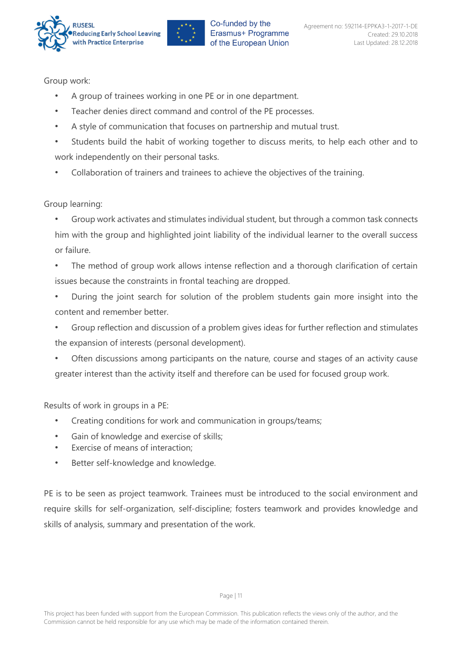



Group work:

- A group of trainees working in one PE or in one department.
- Teacher denies direct command and control of the PE processes.
- A style of communication that focuses on partnership and mutual trust.
- Students build the habit of working together to discuss merits, to help each other and to work independently on their personal tasks.
- Collaboration of trainers and trainees to achieve the objectives of the training.

#### Group learning:

- Group work activates and stimulates individual student, but through a common task connects him with the group and highlighted joint liability of the individual learner to the overall success or failure.
- The method of group work allows intense reflection and a thorough clarification of certain issues because the constraints in frontal teaching are dropped.
- During the joint search for solution of the problem students gain more insight into the content and remember better.
- Group reflection and discussion of a problem gives ideas for further reflection and stimulates the expansion of interests (personal development).
- Often discussions among participants on the nature, course and stages of an activity cause greater interest than the activity itself and therefore can be used for focused group work.

Results of work in groups in a PE:

- Creating conditions for work and communication in groups/teams;
- Gain of knowledge and exercise of skills;
- Exercise of means of interaction;
- Better self-knowledge and knowledge.

PE is to be seen as project teamwork. Trainees must be introduced to the social environment and require skills for self-organization, self-discipline; fosters teamwork and provides knowledge and skills of analysis, summary and presentation of the work.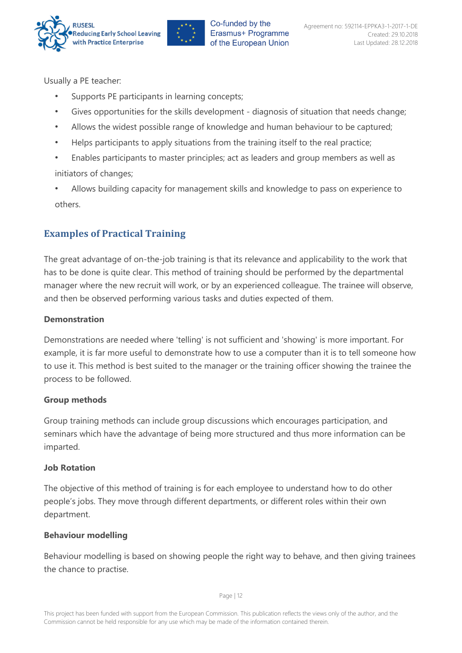



Usually a PE teacher:

- Supports PE participants in learning concepts;
- Gives opportunities for the skills development diagnosis of situation that needs change;
- Allows the widest possible range of knowledge and human behaviour to be captured;
- Helps participants to apply situations from the training itself to the real practice;
- Enables participants to master principles; act as leaders and group members as well as initiators of changes;
- Allows building capacity for management skills and knowledge to pass on experience to others.

## <span id="page-11-0"></span>**Examples of Practical Training**

The great advantage of on-the-job training is that its relevance and applicability to the work that has to be done is quite clear. This method of training should be performed by the departmental manager where the new recruit will work, or by an experienced colleague. The trainee will observe, and then be observed performing various tasks and duties expected of them.

#### **Demonstration**

Demonstrations are needed where 'telling' is not sufficient and 'showing' is more important. For example, it is far more useful to demonstrate how to use a computer than it is to tell someone how to use it. This method is best suited to the manager or the training officer showing the trainee the process to be followed.

#### **Group methods**

Group training methods can include group discussions which encourages participation, and seminars which have the advantage of being more structured and thus more information can be imparted.

#### **Job Rotation**

The objective of this method of training is for each employee to understand how to do other people's jobs. They move through different departments, or different roles within their own department.

#### **Behaviour modelling**

Behaviour modelling is based on showing people the right way to behave, and then giving trainees the chance to practise.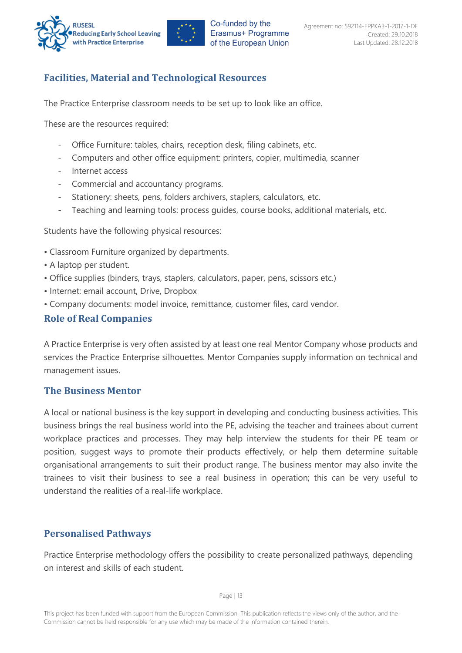



## <span id="page-12-0"></span>**Facilities, Material and Technological Resources**

The Practice Enterprise classroom needs to be set up to look like an office.

These are the resources required:

- Office Furniture: tables, chairs, reception desk, filing cabinets, etc.
- Computers and other office equipment: printers, copier, multimedia, scanner
- Internet access
- Commercial and accountancy programs.
- Stationery: sheets, pens, folders archivers, staplers, calculators, etc.
- Teaching and learning tools: process guides, course books, additional materials, etc.

Students have the following physical resources:

- Classroom Furniture organized by departments.
- A laptop per student.
- Office supplies (binders, trays, staplers, calculators, paper, pens, scissors etc.)
- Internet: email account, Drive, Dropbox
- Company documents: model invoice, remittance, customer files, card vendor.

#### <span id="page-12-1"></span>**Role of Real Companies**

A Practice Enterprise is very often assisted by at least one real Mentor Company whose products and services the Practice Enterprise silhouettes. Mentor Companies supply information on technical and management issues.

#### <span id="page-12-2"></span>**The Business Mentor**

A local or national business is the key support in developing and conducting business activities. This business brings the real business world into the PE, advising the teacher and trainees about current workplace practices and processes. They may help interview the students for their PE team or position, suggest ways to promote their products effectively, or help them determine suitable organisational arrangements to suit their product range. The business mentor may also invite the trainees to visit their business to see a real business in operation; this can be very useful to understand the realities of a real-life workplace.

#### <span id="page-12-3"></span>**Personalised Pathways**

Practice Enterprise methodology offers the possibility to create personalized pathways, depending on interest and skills of each student.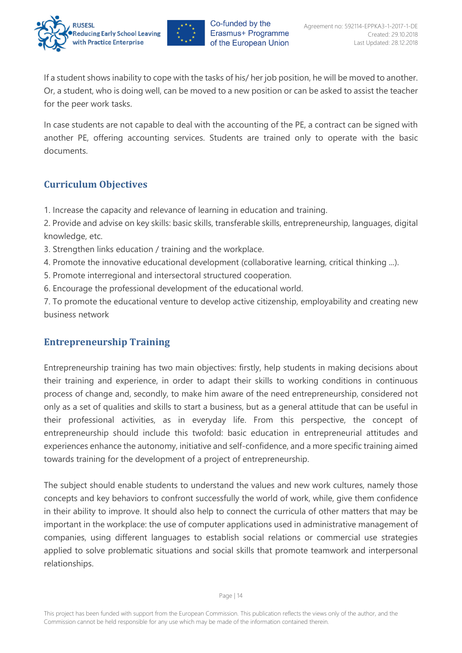



If a student shows inability to cope with the tasks of his/ her job position, he will be moved to another. Or, a student, who is doing well, can be moved to a new position or can be asked to assist the teacher for the peer work tasks.

In case students are not capable to deal with the accounting of the PE, a contract can be signed with another PE, offering accounting services. Students are trained only to operate with the basic documents.

## <span id="page-13-0"></span>**Curriculum Objectives**

1. Increase the capacity and relevance of learning in education and training.

2. Provide and advise on key skills: basic skills, transferable skills, entrepreneurship, languages, digital knowledge, etc.

- 3. Strengthen links education / training and the workplace.
- 4. Promote the innovative educational development (collaborative learning, critical thinking ...).
- 5. Promote interregional and intersectoral structured cooperation.
- 6. Encourage the professional development of the educational world.

7. To promote the educational venture to develop active citizenship, employability and creating new business network

## <span id="page-13-1"></span>**Entrepreneurship Training**

Entrepreneurship training has two main objectives: firstly, help students in making decisions about their training and experience, in order to adapt their skills to working conditions in continuous process of change and, secondly, to make him aware of the need entrepreneurship, considered not only as a set of qualities and skills to start a business, but as a general attitude that can be useful in their professional activities, as in everyday life. From this perspective, the concept of entrepreneurship should include this twofold: basic education in entrepreneurial attitudes and experiences enhance the autonomy, initiative and self-confidence, and a more specific training aimed towards training for the development of a project of entrepreneurship.

The subject should enable students to understand the values and new work cultures, namely those concepts and key behaviors to confront successfully the world of work, while, give them confidence in their ability to improve. It should also help to connect the curricula of other matters that may be important in the workplace: the use of computer applications used in administrative management of companies, using different languages to establish social relations or commercial use strategies applied to solve problematic situations and social skills that promote teamwork and interpersonal relationships.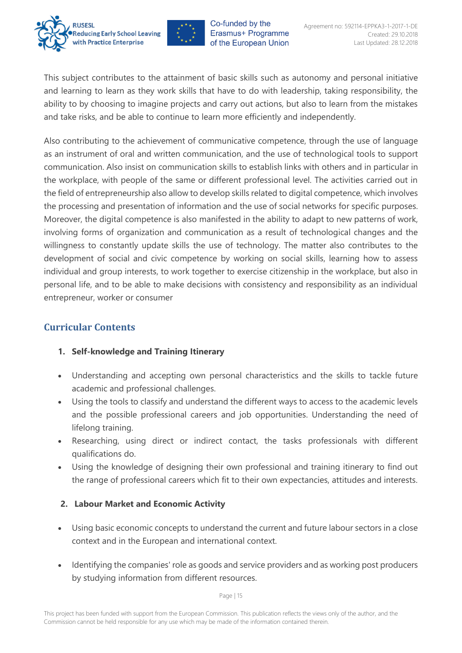



This subject contributes to the attainment of basic skills such as autonomy and personal initiative and learning to learn as they work skills that have to do with leadership, taking responsibility, the ability to by choosing to imagine projects and carry out actions, but also to learn from the mistakes and take risks, and be able to continue to learn more efficiently and independently.

Also contributing to the achievement of communicative competence, through the use of language as an instrument of oral and written communication, and the use of technological tools to support communication. Also insist on communication skills to establish links with others and in particular in the workplace, with people of the same or different professional level. The activities carried out in the field of entrepreneurship also allow to develop skills related to digital competence, which involves the processing and presentation of information and the use of social networks for specific purposes. Moreover, the digital competence is also manifested in the ability to adapt to new patterns of work, involving forms of organization and communication as a result of technological changes and the willingness to constantly update skills the use of technology. The matter also contributes to the development of social and civic competence by working on social skills, learning how to assess individual and group interests, to work together to exercise citizenship in the workplace, but also in personal life, and to be able to make decisions with consistency and responsibility as an individual entrepreneur, worker or consumer

## <span id="page-14-0"></span>**Curricular Contents**

#### **1. Self-knowledge and Training Itinerary**

- Understanding and accepting own personal characteristics and the skills to tackle future academic and professional challenges.
- Using the tools to classify and understand the different ways to access to the academic levels and the possible professional careers and job opportunities. Understanding the need of lifelong training.
- Researching, using direct or indirect contact, the tasks professionals with different qualifications do.
- Using the knowledge of designing their own professional and training itinerary to find out the range of professional careers which fit to their own expectancies, attitudes and interests.

#### **2. Labour Market and Economic Activity**

- Using basic economic concepts to understand the current and future labour sectors in a close context and in the European and international context.
- Identifying the companies' role as goods and service providers and as working post producers by studying information from different resources.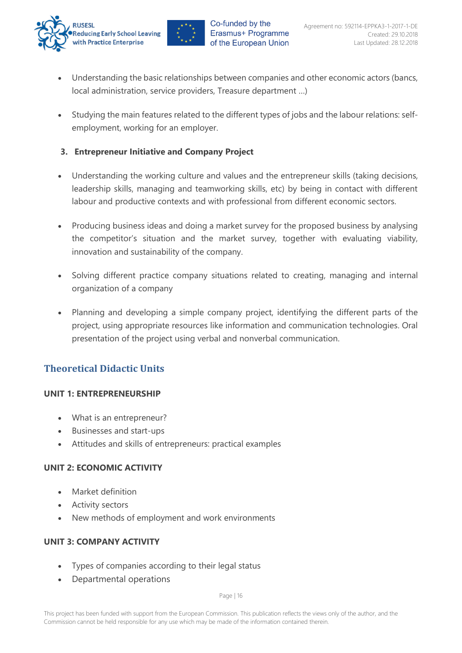



- Understanding the basic relationships between companies and other economic actors (bancs, local administration, service providers, Treasure department …)
- Studying the main features related to the different types of jobs and the labour relations: selfemployment, working for an employer.

### **3. Entrepreneur Initiative and Company Project**

- Understanding the working culture and values and the entrepreneur skills (taking decisions, leadership skills, managing and teamworking skills, etc) by being in contact with different labour and productive contexts and with professional from different economic sectors.
- Producing business ideas and doing a market survey for the proposed business by analysing the competitor's situation and the market survey, together with evaluating viability, innovation and sustainability of the company.
- Solving different practice company situations related to creating, managing and internal organization of a company
- Planning and developing a simple company project, identifying the different parts of the project, using appropriate resources like information and communication technologies. Oral presentation of the project using verbal and nonverbal communication.

## <span id="page-15-0"></span>**Theoretical Didactic Units**

#### **UNIT 1: ENTREPRENEURSHIP**

- What is an entrepreneur?
- Businesses and start-ups
- Attitudes and skills of entrepreneurs: practical examples

#### **UNIT 2: ECONOMIC ACTIVITY**

- Market definition
- **Activity sectors**
- New methods of employment and work environments

#### **UNIT 3: COMPANY ACTIVITY**

- Types of companies according to their legal status
- Departmental operations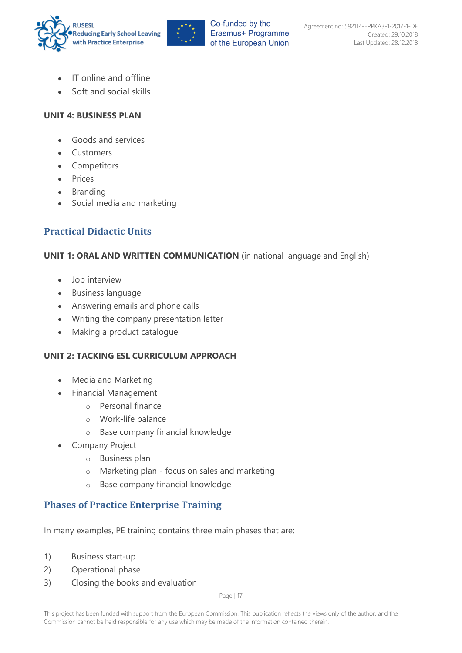



- IT online and offline
- Soft and social skills

#### **UNIT 4: BUSINESS PLAN**

- Goods and services
- Customers
- Competitors
- Prices
- Branding
- Social media and marketing

## <span id="page-16-0"></span>**Practical Didactic Units**

#### **UNIT 1: ORAL AND WRITTEN COMMUNICATION** (in national language and English)

- Job interview
- Business language
- Answering emails and phone calls
- Writing the company presentation letter
- Making a product catalogue

#### **UNIT 2: TACKING ESL CURRICULUM APPROACH**

- Media and Marketing
- Financial Management
	- o Personal finance
	- o Work-life balance
	- o Base company financial knowledge
- **Company Project** 
	- o Business plan
	- o Marketing plan focus on sales and marketing
	- o Base company financial knowledge

## <span id="page-16-1"></span>**Phases of Practice Enterprise Training**

In many examples, PE training contains three main phases that are:

- 1) Business start-up
- 2) Operational phase
- 3) Closing the books and evaluation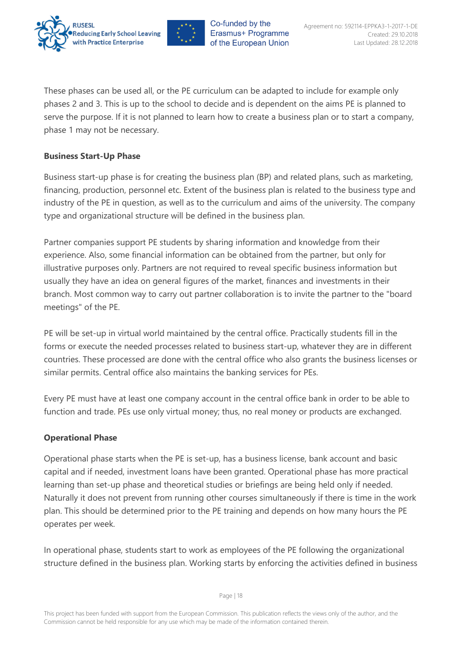



These phases can be used all, or the PE curriculum can be adapted to include for example only phases 2 and 3. This is up to the school to decide and is dependent on the aims PE is planned to serve the purpose. If it is not planned to learn how to create a business plan or to start a company, phase 1 may not be necessary.

#### **Business Start-Up Phase**

Business start-up phase is for creating the business plan (BP) and related plans, such as marketing, financing, production, personnel etc. Extent of the business plan is related to the business type and industry of the PE in question, as well as to the curriculum and aims of the university. The company type and organizational structure will be defined in the business plan.

Partner companies support PE students by sharing information and knowledge from their experience. Also, some financial information can be obtained from the partner, but only for illustrative purposes only. Partners are not required to reveal specific business information but usually they have an idea on general figures of the market, finances and investments in their branch. Most common way to carry out partner collaboration is to invite the partner to the "board meetings" of the PE.

PE will be set-up in virtual world maintained by the central office. Practically students fill in the forms or execute the needed processes related to business start-up, whatever they are in different countries. These processed are done with the central office who also grants the business licenses or similar permits. Central office also maintains the banking services for PEs.

Every PE must have at least one company account in the central office bank in order to be able to function and trade. PEs use only virtual money; thus, no real money or products are exchanged.

#### **Operational Phase**

Operational phase starts when the PE is set-up, has a business license, bank account and basic capital and if needed, investment loans have been granted. Operational phase has more practical learning than set-up phase and theoretical studies or briefings are being held only if needed. Naturally it does not prevent from running other courses simultaneously if there is time in the work plan. This should be determined prior to the PE training and depends on how many hours the PE operates per week.

In operational phase, students start to work as employees of the PE following the organizational structure defined in the business plan. Working starts by enforcing the activities defined in business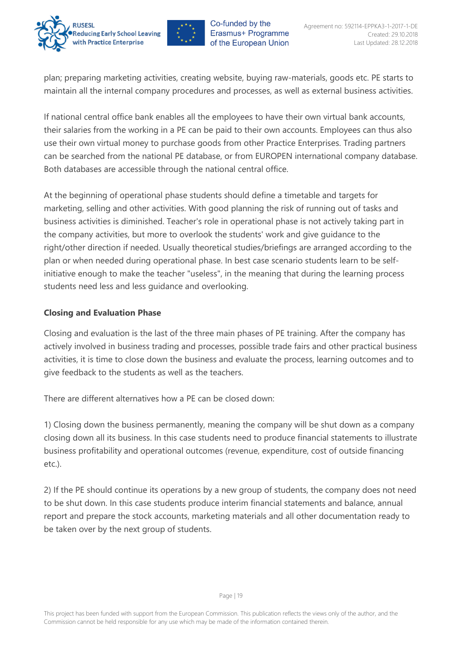



plan; preparing marketing activities, creating website, buying raw-materials, goods etc. PE starts to maintain all the internal company procedures and processes, as well as external business activities.

If national central office bank enables all the employees to have their own virtual bank accounts, their salaries from the working in a PE can be paid to their own accounts. Employees can thus also use their own virtual money to purchase goods from other Practice Enterprises. Trading partners can be searched from the national PE database, or from EUROPEN international company database. Both databases are accessible through the national central office.

At the beginning of operational phase students should define a timetable and targets for marketing, selling and other activities. With good planning the risk of running out of tasks and business activities is diminished. Teacher's role in operational phase is not actively taking part in the company activities, but more to overlook the students' work and give guidance to the right/other direction if needed. Usually theoretical studies/briefings are arranged according to the plan or when needed during operational phase. In best case scenario students learn to be selfinitiative enough to make the teacher "useless", in the meaning that during the learning process students need less and less guidance and overlooking.

#### **Closing and Evaluation Phase**

Closing and evaluation is the last of the three main phases of PE training. After the company has actively involved in business trading and processes, possible trade fairs and other practical business activities, it is time to close down the business and evaluate the process, learning outcomes and to give feedback to the students as well as the teachers.

There are different alternatives how a PE can be closed down:

1) Closing down the business permanently, meaning the company will be shut down as a company closing down all its business. In this case students need to produce financial statements to illustrate business profitability and operational outcomes (revenue, expenditure, cost of outside financing etc.).

<span id="page-18-0"></span>2) If the PE should continue its operations by a new group of students, the company does not need to be shut down. In this case students produce interim financial statements and balance, annual report and prepare the stock accounts, marketing materials and all other documentation ready to be taken over by the next group of students.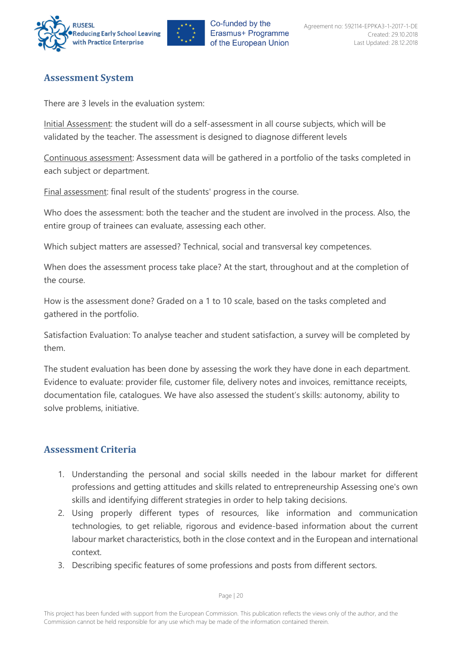



## **Assessment System**

There are 3 levels in the evaluation system:

Initial Assessment: the student will do a self-assessment in all course subjects, which will be validated by the teacher. The assessment is designed to diagnose different levels

Continuous assessment: Assessment data will be gathered in a portfolio of the tasks completed in each subject or department.

Final assessment: final result of the students' progress in the course.

Who does the assessment: both the teacher and the student are involved in the process. Also, the entire group of trainees can evaluate, assessing each other.

Which subject matters are assessed? Technical, social and transversal key competences.

When does the assessment process take place? At the start, throughout and at the completion of the course.

How is the assessment done? Graded on a 1 to 10 scale, based on the tasks completed and gathered in the portfolio.

Satisfaction Evaluation: To analyse teacher and student satisfaction, a survey will be completed by them.

The student evaluation has been done by assessing the work they have done in each department. Evidence to evaluate: provider file, customer file, delivery notes and invoices, remittance receipts, documentation file, catalogues. We have also assessed the student's skills: autonomy, ability to solve problems, initiative.

## <span id="page-19-0"></span>**Assessment Criteria**

- 1. Understanding the personal and social skills needed in the labour market for different professions and getting attitudes and skills related to entrepreneurship Assessing one's own skills and identifying different strategies in order to help taking decisions.
- 2. Using properly different types of resources, like information and communication technologies, to get reliable, rigorous and evidence-based information about the current labour market characteristics, both in the close context and in the European and international context.
- 3. Describing specific features of some professions and posts from different sectors.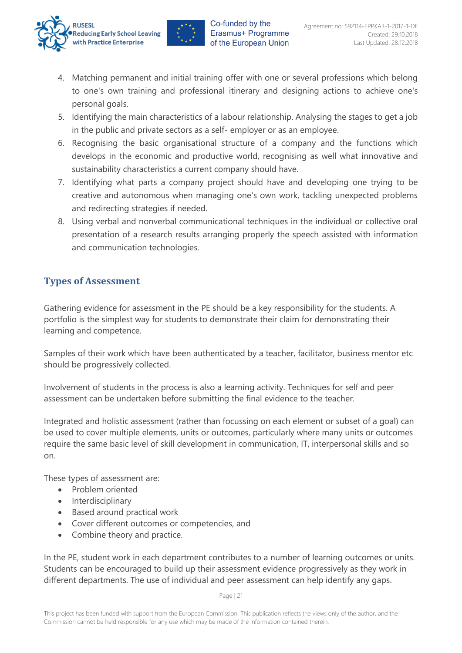



- 4. Matching permanent and initial training offer with one or several professions which belong to one's own training and professional itinerary and designing actions to achieve one's personal goals.
- 5. Identifying the main characteristics of a labour relationship. Analysing the stages to get a job in the public and private sectors as a self- employer or as an employee.
- 6. Recognising the basic organisational structure of a company and the functions which develops in the economic and productive world, recognising as well what innovative and sustainability characteristics a current company should have.
- 7. Identifying what parts a company project should have and developing one trying to be creative and autonomous when managing one's own work, tackling unexpected problems and redirecting strategies if needed.
- 8. Using verbal and nonverbal communicational techniques in the individual or collective oral presentation of a research results arranging properly the speech assisted with information and communication technologies.

## <span id="page-20-0"></span>**Types of Assessment**

Gathering evidence for assessment in the PE should be a key responsibility for the students. A portfolio is the simplest way for students to demonstrate their claim for demonstrating their learning and competence.

Samples of their work which have been authenticated by a teacher, facilitator, business mentor etc should be progressively collected.

Involvement of students in the process is also a learning activity. Techniques for self and peer assessment can be undertaken before submitting the final evidence to the teacher.

Integrated and holistic assessment (rather than focussing on each element or subset of a goal) can be used to cover multiple elements, units or outcomes, particularly where many units or outcomes require the same basic level of skill development in communication, IT, interpersonal skills and so on.

These types of assessment are:

- Problem oriented
- Interdisciplinary
- Based around practical work
- Cover different outcomes or competencies, and
- Combine theory and practice.

In the PE, student work in each department contributes to a number of learning outcomes or units. Students can be encouraged to build up their assessment evidence progressively as they work in different departments. The use of individual and peer assessment can help identify any gaps.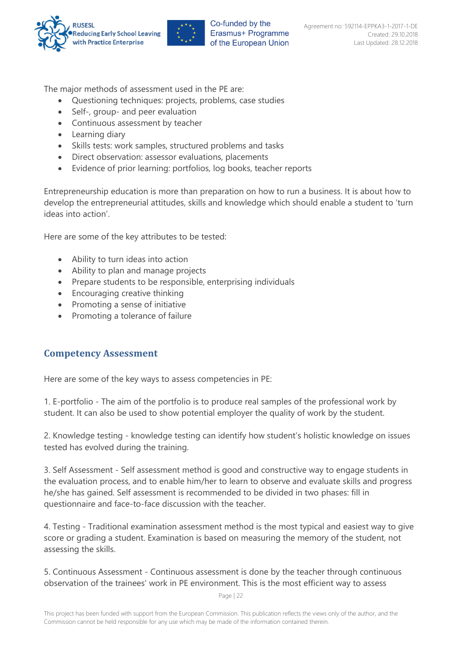



The major methods of assessment used in the PE are:

- Questioning techniques: projects, problems, case studies
- Self-, group- and peer evaluation
- Continuous assessment by teacher
- Learning diary
- Skills tests: work samples, structured problems and tasks
- Direct observation: assessor evaluations, placements
- Evidence of prior learning: portfolios, log books, teacher reports

Entrepreneurship education is more than preparation on how to run a business. It is about how to develop the entrepreneurial attitudes, skills and knowledge which should enable a student to 'turn ideas into action'.

Here are some of the key attributes to be tested:

- Ability to turn ideas into action
- Ability to plan and manage projects
- Prepare students to be responsible, enterprising individuals
- Encouraging creative thinking
- Promoting a sense of initiative
- Promoting a tolerance of failure

#### <span id="page-21-0"></span>**Competency Assessment**

Here are some of the key ways to assess competencies in PE:

1. E-portfolio - The aim of the portfolio is to produce real samples of the professional work by student. It can also be used to show potential employer the quality of work by the student.

2. Knowledge testing - knowledge testing can identify how student's holistic knowledge on issues tested has evolved during the training.

3. Self Assessment - Self assessment method is good and constructive way to engage students in the evaluation process, and to enable him/her to learn to observe and evaluate skills and progress he/she has gained. Self assessment is recommended to be divided in two phases: fill in questionnaire and face-to-face discussion with the teacher.

4. Testing - Traditional examination assessment method is the most typical and easiest way to give score or grading a student. Examination is based on measuring the memory of the student, not assessing the skills.

5. Continuous Assessment - Continuous assessment is done by the teacher through continuous observation of the trainees' work in PE environment. This is the most efficient way to assess